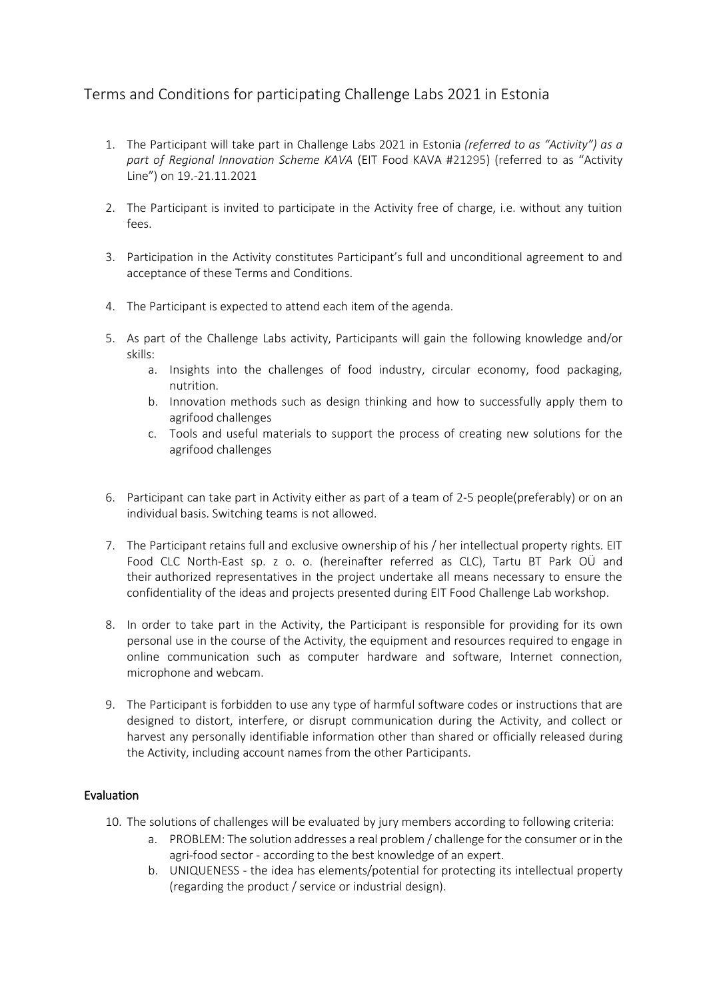# Terms and Conditions for participating Challenge Labs 2021 in Estonia

- 1. The Participant will take part in Challenge Labs 2021 in Estonia *(referred to as "Activity") as a part of Regional Innovation Scheme KAVA* (EIT Food KAVA #21295) (referred to as "Activity Line") on 19.-21.11.2021
- 2. The Participant is invited to participate in the Activity free of charge, i.e. without any tuition fees.
- 3. Participation in the Activity constitutes Participant's full and unconditional agreement to and acceptance of these Terms and Conditions.
- 4. The Participant is expected to attend each item of the agenda.
- 5. As part of the Challenge Labs activity, Participants will gain the following knowledge and/or skills:
	- a. Insights into the challenges of food industry, circular economy, food packaging, nutrition.
	- b. Innovation methods such as design thinking and how to successfully apply them to agrifood challenges
	- c. Tools and useful materials to support the process of creating new solutions for the agrifood challenges
- 6. Participant can take part in Activity either as part of a team of 2-5 people(preferably) or on an individual basis. Switching teams is not allowed.
- 7. The Participant retains full and exclusive ownership of his / her intellectual property rights. EIT Food CLC North-East sp. z o. o. (hereinafter referred as CLC), Tartu BT Park OÜ and their authorized representatives in the project undertake all means necessary to ensure the confidentiality of the ideas and projects presented during EIT Food Challenge Lab workshop.
- 8. In order to take part in the Activity, the Participant is responsible for providing for its own personal use in the course of the Activity, the equipment and resources required to engage in online communication such as computer hardware and software, Internet connection, microphone and webcam.
- 9. The Participant is forbidden to use any type of harmful software codes or instructions that are designed to distort, interfere, or disrupt communication during the Activity, and collect or harvest any personally identifiable information other than shared or officially released during the Activity, including account names from the other Participants.

# Evaluation

- 10. The solutions of challenges will be evaluated by jury members according to following criteria:
	- a. PROBLEM: The solution addresses a real problem / challenge for the consumer or in the agri-food sector - according to the best knowledge of an expert.
	- b. UNIQUENESS the idea has elements/potential for protecting its intellectual property (regarding the product / service or industrial design).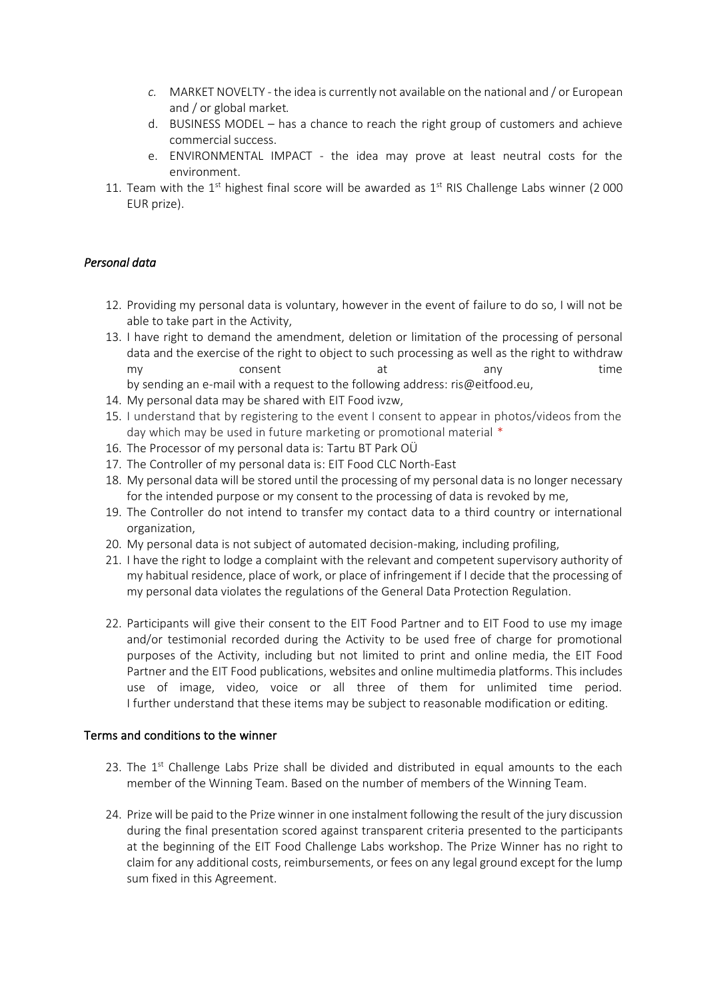- *c.* MARKET NOVELTY the idea is currently not available on the national and / or European and / or global market*.*
- d. BUSINESS MODEL has a chance to reach the right group of customers and achieve commercial success.
- e. ENVIRONMENTAL IMPACT the idea may prove at least neutral costs for the environment.
- 11. Team with the  $1<sup>st</sup>$  highest final score will be awarded as  $1<sup>st</sup>$  RIS Challenge Labs winner (2000 EUR prize).

# *Personal data*

- 12. Providing my personal data is voluntary, however in the event of failure to do so, I will not be able to take part in the Activity,
- 13. I have right to demand the amendment, deletion or limitation of the processing of personal data and the exercise of the right to object to such processing as well as the right to withdraw my consent at any time by sending an e-mail with a request to the following address[: ris@eitfood.eu](mailto:ris@eitfood.eu),
- 14. My personal data may be shared with EIT Food ivzw,
- 15. I understand that by registering to the event I consent to appear in photos/videos from the day which may be used in future marketing or promotional material \*
- 16. The Processor of my personal data is: Tartu BT Park OÜ
- 17. The Controller of my personal data is: EIT Food CLC North-East
- 18. My personal data will be stored until the processing of my personal data is no longer necessary for the intended purpose or my consent to the processing of data is revoked by me,
- 19. The Controller do not intend to transfer my contact data to a third country or international organization,
- 20. My personal data is not subject of automated decision-making, including profiling,
- 21. I have the right to lodge a complaint with the relevant and competent supervisory authority of my habitual residence, place of work, or place of infringement if I decide that the processing of my personal data violates the regulations of the General Data Protection Regulation.
- 22. Participants will give their consent to the EIT Food Partner and to EIT Food to use my image and/or testimonial recorded during the Activity to be used free of charge for promotional purposes of the Activity, including but not limited to print and online media, the EIT Food Partner and the EIT Food publications, websites and online multimedia platforms. This includes use of image, video, voice or all three of them for unlimited time period. I further understand that these items may be subject to reasonable modification or editing.

### Terms and conditions to the winner

- 23. The 1<sup>st</sup> Challenge Labs Prize shall be divided and distributed in equal amounts to the each member of the Winning Team. Based on the number of members of the Winning Team.
- 24. Prize will be paid to the Prize winner in one instalment following the result of the jury discussion during the final presentation scored against transparent criteria presented to the participants at the beginning of the EIT Food Challenge Labs workshop. The Prize Winner has no right to claim for any additional costs, reimbursements, or fees on any legal ground except for the lump sum fixed in this Agreement.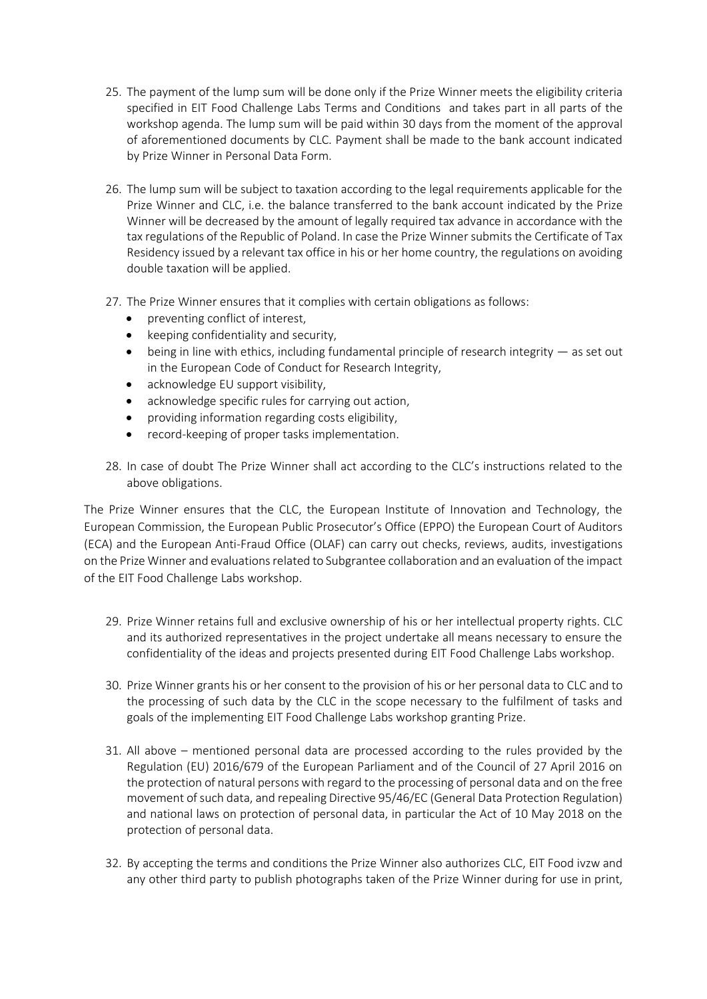- 25. The payment of the lump sum will be done only if the Prize Winner meets the eligibility criteria specified in EIT Food Challenge Labs Terms and Conditions and takes part in all parts of the workshop agenda. The lump sum will be paid within 30 days from the moment of the approval of aforementioned documents by CLC. Payment shall be made to the bank account indicated by Prize Winner in Personal Data Form.
- 26. The lump sum will be subject to taxation according to the legal requirements applicable for the Prize Winner and CLC, i.e. the balance transferred to the bank account indicated by the Prize Winner will be decreased by the amount of legally required tax advance in accordance with the tax regulations of the Republic of Poland. In case the Prize Winnersubmits the Certificate of Tax Residency issued by a relevant tax office in his or her home country, the regulations on avoiding double taxation will be applied.
- 27. The Prize Winner ensures that it complies with certain obligations as follows:
	- preventing conflict of interest,
	- keeping confidentiality and security,
	- being in line with ethics, including fundamental principle of research integrity as set out in the European Code of Conduct for Research Integrity,
	- acknowledge EU support visibility,
	- acknowledge specific rules for carrying out action,
	- providing information regarding costs eligibility,
	- record-keeping of proper tasks implementation.
- 28. In case of doubt The Prize Winner shall act according to the CLC's instructions related to the above obligations.

The Prize Winner ensures that the CLC, the European Institute of Innovation and Technology, the European Commission, the European Public Prosecutor's Office (EPPO) the European Court of Auditors (ECA) and the European Anti-Fraud Office (OLAF) can carry out checks, reviews, audits, investigations on the Prize Winner and evaluations related to Subgrantee collaboration and an evaluation of the impact of the EIT Food Challenge Labs workshop.

- 29. Prize Winner retains full and exclusive ownership of his or her intellectual property rights. CLC and its authorized representatives in the project undertake all means necessary to ensure the confidentiality of the ideas and projects presented during EIT Food Challenge Labs workshop.
- 30. Prize Winner grants his or her consent to the provision of his or her personal data to CLC and to the processing of such data by the CLC in the scope necessary to the fulfilment of tasks and goals of the implementing EIT Food Challenge Labs workshop granting Prize.
- 31. All above mentioned personal data are processed according to the rules provided by the Regulation (EU) 2016/679 of the European Parliament and of the Council of 27 April 2016 on the protection of natural persons with regard to the processing of personal data and on the free movement of such data, and repealing Directive 95/46/EC (General Data Protection Regulation) and national laws on protection of personal data, in particular the Act of 10 May 2018 on the protection of personal data.
- 32. By accepting the terms and conditions the Prize Winner also authorizes CLC, EIT Food ivzw and any other third party to publish photographs taken of the Prize Winner during for use in print,